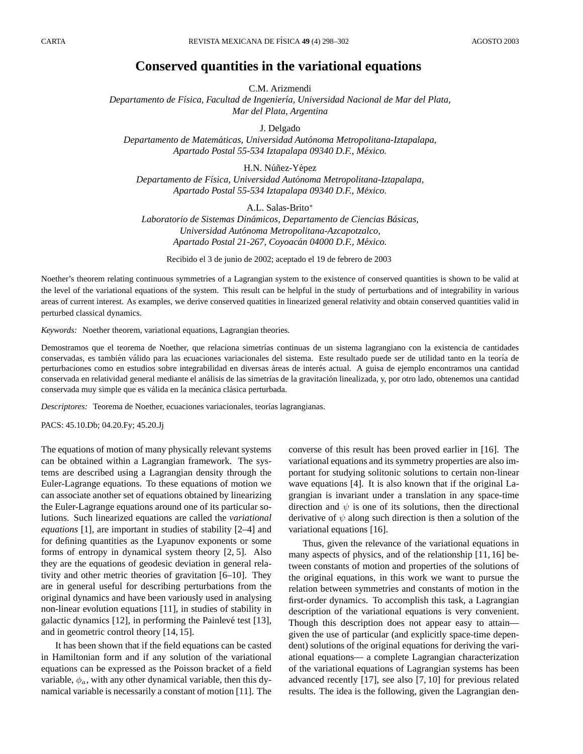## **Conserved quantities in the variational equations**

C.M. Arizmendi

*Departamento de F´ısica, Facultad de Ingenier´ıa, Universidad Nacional de Mar del Plata, Mar del Plata, Argentina*

J. Delgado

*Departamento de Matematicas, Universidad Aut ´ onoma Metropolitana-Iztapalapa, ´ Apartado Postal 55-534 Iztapalapa 09340 D.F., Mexico. ´*

H.N. Núñez-Yépez *Departamento de F´ısica, Universidad Autonoma Metropolitana-Iztapalapa, ´ Apartado Postal 55-534 Iztapalapa 09340 D.F., Mexico. ´*

A.L. Salas-Brito<sup>∗</sup>

*Laboratorio de Sistemas Dinamicos, Departamento de Ciencias B ´ asicas, ´ Universidad Autonoma Metropolitana-Azcapotzalco, ´ Apartado Postal 21-267, Coyoacan 04000 D.F., M ´ exico. ´*

Recibido el 3 de junio de 2002; aceptado el 19 de febrero de 2003

Noether's theorem relating continuous symmetries of a Lagrangian system to the existence of conserved quantities is shown to be valid at the level of the variational equations of the system. This result can be helpful in the study of perturbations and of integrability in various areas of current interest. As examples, we derive conserved quatities in linearized general relativity and obtain conserved quantities valid in perturbed classical dynamics.

*Keywords:* Noether theorem, variational equations, Lagrangian theories.

Demostramos que el teorema de Noether, que relaciona simetrías continuas de un sistema lagrangiano con la existencia de cantidades conservadas, es también válido para las ecuaciones variacionales del sistema. Este resultado puede ser de utilidad tanto en la teoría de perturbaciones como en estudios sobre integrabilidad en diversas áreas de interés actual. A guisa de ejemplo encontramos una cantidad conservada en relatividad general mediante el análisis de las simetrías de la gravitación linealizada, y, por otro lado, obtenemos una cantidad conservada muy simple que es válida en la mecánica clásica perturbada.

Descriptores: Teorema de Noether, ecuaciones variacionales, teorías lagrangianas.

PACS: 45.10.Db; 04.20.Fy; 45.20.Jj

The equations of motion of many physically relevant systems can be obtained within a Lagrangian framework. The systems are described using a Lagrangian density through the Euler-Lagrange equations. To these equations of motion we can associate another set of equations obtained by linearizing the Euler-Lagrange equations around one of its particular solutions. Such linearized equations are called the *variational equations* [1], are important in studies of stability [2–4] and for defining quantities as the Lyapunov exponents or some forms of entropy in dynamical system theory [2, 5]. Also they are the equations of geodesic deviation in general relativity and other metric theories of gravitation [6–10]. They are in general useful for describing perturbations from the original dynamics and have been variously used in analysing non-linear evolution equations [11], in studies of stability in galactic dynamics  $[12]$ , in performing the Painlevé test  $[13]$ , and in geometric control theory [14, 15].

It has been shown that if the field equations can be casted in Hamiltonian form and if any solution of the variational equations can be expressed as the Poisson bracket of a field variable,  $\phi_a$ , with any other dynamical variable, then this dynamical variable is necessarily a constant of motion [11]. The

converse of this result has been proved earlier in [16]. The variational equations and its symmetry properties are also important for studying solitonic solutions to certain non-linear wave equations [4]. It is also known that if the original Lagrangian is invariant under a translation in any space-time direction and  $\psi$  is one of its solutions, then the directional derivative of  $\psi$  along such direction is then a solution of the variational equations [16].

Thus, given the relevance of the variational equations in many aspects of physics, and of the relationship [11, 16] between constants of motion and properties of the solutions of the original equations, in this work we want to pursue the relation between symmetries and constants of motion in the first-order dynamics. To accomplish this task, a Lagrangian description of the variational equations is very convenient. Though this description does not appear easy to attain given the use of particular (and explicitly space-time dependent) solutions of the original equations for deriving the variational equations— a complete Lagrangian characterization of the variational equations of Lagrangian systems has been advanced recently [17], see also [7, 10] for previous related results. The idea is the following, given the Lagrangian den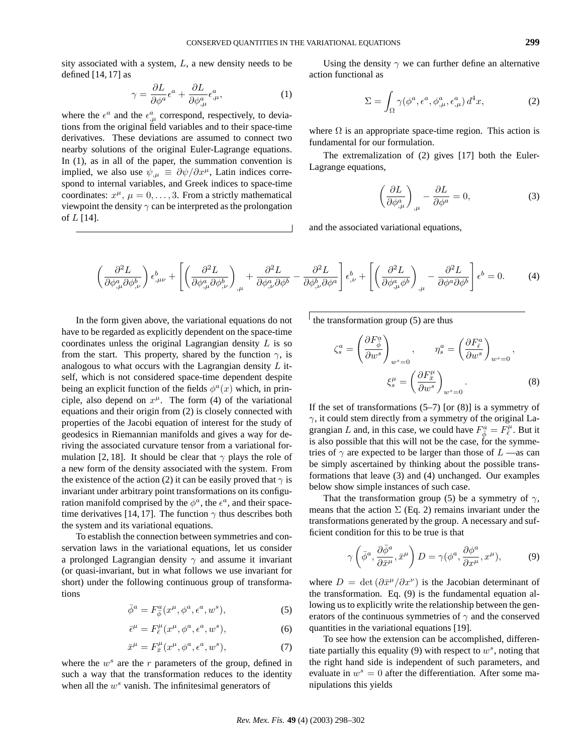sity associated with a system, L, a new density needs to be defined  $[14, 17]$  as

$$
\gamma = \frac{\partial L}{\partial \phi^a} \epsilon^a + \frac{\partial L}{\partial \phi^a_{,\mu}} \epsilon^a_{,\mu},\tag{1}
$$

where the  $\epsilon^a$  and the  $\epsilon^a_{,\mu}$  correspond, respectively, to deviations from the original field variables and to their space-time derivatives. These deviations are assumed to connect two nearby solutions of the original Euler-Lagrange equations. In (1), as in all of the paper, the summation convention is implied, we also use  $\psi_{,\mu} \equiv \partial \psi / \partial x^{\mu}$ , Latin indices correspond to internal variables, and Greek indices to space-time coordinates:  $x^{\mu}$ ,  $\mu = 0, \ldots, 3$ . From a strictly mathematical viewpoint the density  $\gamma$  can be interpreted as the prolongation of  $L$  [14].

Using the density  $\gamma$  we can further define an alternative action functional as

$$
\Sigma = \int_{\Omega} \gamma(\phi^a, \epsilon^a, \phi^a_{,\mu}, \epsilon^a_{,\mu}) d^4x, \tag{2}
$$

where  $\Omega$  is an appropriate space-time region. This action is fundamental for our formulation.

The extremalization of (2) gives [17] both the Euler-Lagrange equations,

$$
\left(\frac{\partial L}{\partial \phi^a_{,\mu}}\right)_{,\mu} - \frac{\partial L}{\partial \phi^a} = 0,\tag{3}
$$

and the associated variational equations,

$$
\left(\frac{\partial^2 L}{\partial \phi^a_{,\mu} \partial \phi^b_{,\nu}}\right) \epsilon^b_{,\mu\nu} + \left[ \left(\frac{\partial^2 L}{\partial \phi^a_{,\mu} \partial \phi^b_{,\nu}}\right)_{,\mu} + \frac{\partial^2 L}{\partial \phi^a_{,\nu} \partial \phi^b} - \frac{\partial^2 L}{\partial \phi^b_{,\nu} \partial \phi^a} \right] \epsilon^b_{,\nu} + \left[ \left(\frac{\partial^2 L}{\partial \phi^a_{,\mu} \phi^b}\right)_{,\mu} - \frac{\partial^2 L}{\partial \phi^a \partial \phi^b} \right] \epsilon^b = 0. \tag{4}
$$

In the form given above, the variational equations do not have to be regarded as explicitly dependent on the space-time coordinates unless the original Lagrangian density  $L$  is so from the start. This property, shared by the function  $\gamma$ , is analogous to what occurs with the Lagrangian density  $L$  itself, which is not considered space-time dependent despite being an explicit function of the fields  $\phi^a(x)$  which, in principle, also depend on  $x^{\mu}$ . The form (4) of the variational equations and their origin from (2) is closely connected with properties of the Jacobi equation of interest for the study of geodesics in Riemannian manifolds and gives a way for deriving the associated curvature tensor from a variational formulation [2, 18]. It should be clear that  $\gamma$  plays the role of a new form of the density associated with the system. From the existence of the action (2) it can be easily proved that  $\gamma$  is invariant under arbitrary point transformations on its configuration manifold comprised by the  $\phi^a$ , the  $\epsilon^a$ , and their spacetime derivatives [14, 17]. The function  $\gamma$  thus describes both the system and its variational equations.

To establish the connection between symmetries and conservation laws in the variational equations, let us consider a prolonged Lagrangian density  $\gamma$  and assume it invariant (or quasi-invariant, but in what follows we use invariant for short) under the following continuous group of transformations

$$
\bar{\phi}^a = F^a_{\bar{\phi}}(x^\mu, \phi^a, \epsilon^a, w^s),\tag{5}
$$

$$
\bar{\epsilon}^{\mu} = F_{\bar{\epsilon}}^{\mu}(x^{\mu}, \phi^a, \epsilon^a, w^s), \tag{6}
$$

$$
\bar{x}^{\mu} = F_{\bar{x}}^{\mu}(x^{\mu}, \phi^a, \epsilon^a, w^s), \tag{7}
$$

where the  $w^s$  are the r parameters of the group, defined in such a way that the transformation reduces to the identity when all the  $w^s$  vanish. The infinitesimal generators of

the transformation group  $(5)$  are thus

$$
\zeta_s^a = \left(\frac{\partial F_{\bar{\phi}}^a}{\partial w^s}\right)_{w^s=0}, \qquad \eta_s^a = \left(\frac{\partial F_{\bar{\epsilon}}^a}{\partial w^s}\right)_{w^s=0},
$$

$$
\xi_s^\mu = \left(\frac{\partial F_x^\mu}{\partial w^s}\right)_{w^s=0}.
$$
(8)

If the set of transformations  $(5-7)$  [or  $(8)$ ] is a symmetry of  $\gamma$ , it could stem directly from a symmetry of the original Lagrangian L and, in this case, we could have  $F_{\bar{\phi}}^a = F_{\bar{\epsilon}}^{\mu}$ . But it is also possible that this will not be the case, for the symmetries of  $\gamma$  are expected to be larger than those of  $L$  —as can be simply ascertained by thinking about the possible transformations that leave (3) and (4) unchanged. Our examples below show simple instances of such case.

That the transformation group (5) be a symmetry of  $\gamma$ , means that the action  $\Sigma$  (Eq. 2) remains invariant under the transformations generated by the group. A necessary and sufficient condition for this to be true is that

$$
\gamma\left(\bar{\phi}^a, \frac{\partial\bar{\phi}^a}{\partial\bar{x}^\mu}, \bar{x}^\mu\right)D = \gamma(\phi^a, \frac{\partial\phi^a}{\partial x^\mu}, x^\mu),\tag{9}
$$

where  $D = \det (\partial \bar{x}^{\mu}/\partial x^{\nu})$  is the Jacobian determinant of the transformation. Eq. (9) is the fundamental equation allowing us to explicitly write the relationship between the generators of the continuous symmetries of  $\gamma$  and the conserved quantities in the variational equations [19].

To see how the extension can be accomplished, differentiate partially this equality (9) with respect to  $w^s$ , noting that the right hand side is independent of such parameters, and evaluate in  $w^s = 0$  after the differentiation. After some manipulations this yields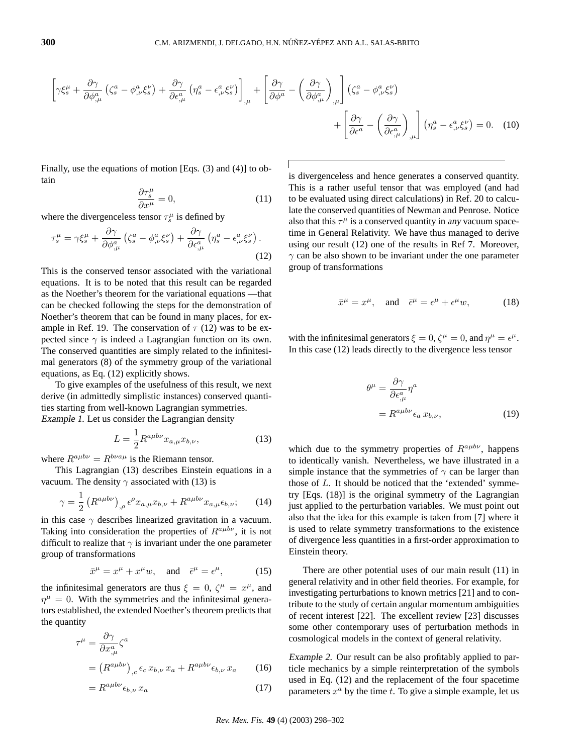$$
\left[\gamma \xi_s^{\mu} + \frac{\partial \gamma}{\partial \phi_{,\mu}^a} \left(\zeta_s^a - \phi_{,\nu}^a \xi_s^{\nu}\right) + \frac{\partial \gamma}{\partial \epsilon_{,\mu}^a} \left(\eta_s^a - \epsilon_{,\nu}^a \xi_s^{\nu}\right)\right]_{,\mu} + \left[\frac{\partial \gamma}{\partial \phi^a} - \left(\frac{\partial \gamma}{\partial \phi_{,\mu}^a}\right)_{,\mu}\right] \left(\zeta_s^a - \phi_{,\nu}^a \xi_s^{\nu}\right) + \left[\frac{\partial \gamma}{\partial \epsilon_a^a} - \left(\frac{\partial \gamma}{\partial \epsilon_{,\mu}^a}\right)_{,\mu}\right] \left(\eta_s^a - \epsilon_{,\nu}^a \xi_s^{\nu}\right) = 0. \quad (10)
$$

Finally, use the equations of motion [Eqs. (3) and (4)] to obtain

$$
\frac{\partial \tau_s^{\mu}}{\partial x^{\mu}} = 0, \tag{11}
$$

where the divergenceless tensor  $\tau_s^{\mu}$  is defined by

$$
\tau_s^{\mu} = \gamma \xi_s^{\mu} + \frac{\partial \gamma}{\partial \phi_{,\mu}^a} \left( \zeta_s^a - \phi_{,\nu}^a \xi_s^{\nu} \right) + \frac{\partial \gamma}{\partial \epsilon_{,\mu}^a} \left( \eta_s^a - \epsilon_{,\nu}^a \xi_s^{\nu} \right). \tag{12}
$$

This is the conserved tensor associated with the variational equations. It is to be noted that this result can be regarded as the Noether's theorem for the variational equations —that can be checked following the steps for the demonstration of Noether's theorem that can be found in many places, for example in Ref. 19. The conservation of  $\tau$  (12) was to be expected since  $\gamma$  is indeed a Lagrangian function on its own. The conserved quantities are simply related to the infinitesimal generators (8) of the symmetry group of the variational equations, as Eq. (12) explicitly shows.

To give examples of the usefulness of this result, we next derive (in admittedly simplistic instances) conserved quantities starting from well-known Lagrangian symmetries. Example 1. Let us consider the Lagrangian density

$$
L = \frac{1}{2} R^{a\mu b\nu} x_{a,\mu} x_{b,\nu},
$$
\n(13)

where  $R^{a\mu b\nu} = R^{b\nu a\mu}$  is the Riemann tensor.

This Lagrangian (13) describes Einstein equations in a vacuum. The density  $\gamma$  associated with (13) is

$$
\gamma = \frac{1}{2} \left( R^{a\mu b\nu} \right)_{,\rho} \epsilon^{\rho} x_{a,\mu} x_{b,\nu} + R^{a\mu b\nu} x_{a,\mu} \epsilon_{b,\nu}; \qquad (14)
$$

in this case  $\gamma$  describes linearized gravitation in a vacuum. Taking into consideration the properties of  $R^{a\mu b\nu}$ , it is not difficult to realize that  $\gamma$  is invariant under the one parameter group of transformations

$$
\bar{x}^{\mu} = x^{\mu} + x^{\mu} w, \quad \text{and} \quad \bar{\epsilon}^{\mu} = \epsilon^{\mu}, \tag{15}
$$

the infinitesimal generators are thus  $\xi = 0$ ,  $\zeta^{\mu} = x^{\mu}$ , and  $\eta^{\mu} = 0$ . With the symmetries and the infinitesimal generators established, the extended Noether's theorem predicts that the quantity

$$
\tau^{\mu} = \frac{\partial \gamma}{\partial x_{,\mu}^{a}} \zeta^{a}
$$
  
=  $(R^{a\mu b\nu})_{,c} \epsilon_{c} x_{b,\nu} x_{a} + R^{a\mu b\nu} \epsilon_{b,\nu} x_{a}$  (16)

$$
=R^{a\mu b\nu}\epsilon_{b,\nu}\,x_a\tag{17}
$$

is divergenceless and hence generates a conserved quantity. This is a rather useful tensor that was employed (and had to be evaluated using direct calculations) in Ref. 20 to calculate the conserved quantities of Newman and Penrose. Notice also that this  $\tau^{\mu}$  is a conserved quantity in any vacuum spacetime in General Relativity. We have thus managed to derive using our result (12) one of the results in Ref 7. Moreover,  $\gamma$  can be also shown to be invariant under the one parameter group of transformations

$$
\bar{x}^{\mu} = x^{\mu}, \quad \text{and} \quad \bar{\epsilon}^{\mu} = \epsilon^{\mu} + \epsilon^{\mu} w, \tag{18}
$$

with the infinitesimal generators  $\xi = 0$ ,  $\zeta^{\mu} = 0$ , and  $\eta^{\mu} = \epsilon^{\mu}$ . In this case (12) leads directly to the divergence less tensor

$$
\theta^{\mu} = \frac{\partial \gamma}{\partial \epsilon_{,\mu}^{a}} \eta^{a}
$$

$$
= R^{a\mu b\nu} \epsilon_{a} x_{b,\nu}, \qquad (19)
$$

which due to the symmetry properties of  $R^{a\mu b\nu}$ , happens to identically vanish. Nevertheless, we have illustrated in a simple instance that the symmetries of  $\gamma$  can be larger than those of L. It should be noticed that the 'extended' symmetry [Eqs. (18)] is the original symmetry of the Lagrangian just applied to the perturbation variables. We must point out also that the idea for this example is taken from [7] where it is used to relate symmetry transformations to the existence of divergence less quantities in a first-order approximation to Einstein theory.

There are other potential uses of our main result (11) in general relativity and in other field theories. For example, for investigating perturbations to known metrics [21] and to contribute to the study of certain angular momentum ambiguities of recent interest [22]. The excellent review [23] discusses some other contemporary uses of perturbation methods in cosmological models in the context of general relativity.

Example 2. Our result can be also profitably applied to particle mechanics by a simple reinterpretation of the symbols used in Eq. (12) and the replacement of the four spacetime parameters  $x^a$  by the time t. To give a simple example, let us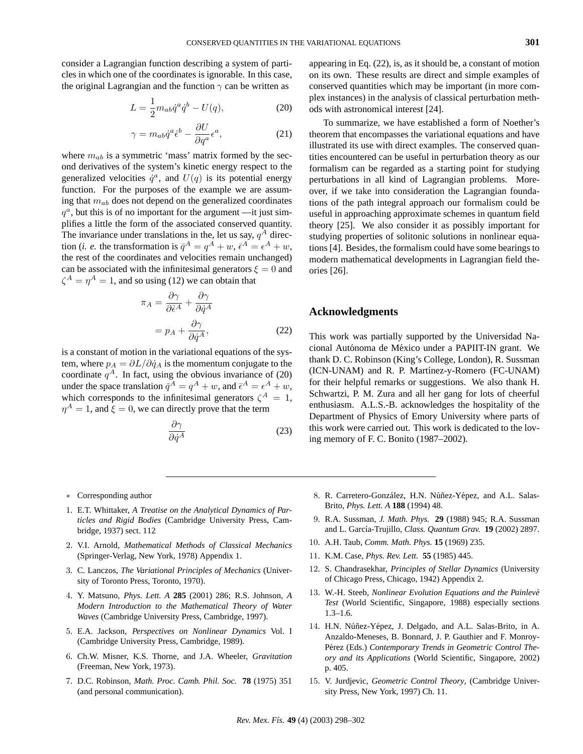consider a Lagrangian function describing a system of particles in which one of the coordinates is ignorable. In this case, the original Lagrangian and the function  $\gamma$  can be written as

$$
L = \frac{1}{2}m_{ab}\dot{q}^a\dot{q}^b - U(q),
$$
 (20)

$$
\gamma = m_{ab}\dot{q}^a \dot{\epsilon}^b - \frac{\partial U}{\partial q^a} \epsilon^a,\tag{21}
$$

where  $m_{ab}$  is a symmetric 'mass' matrix formed by the second derivatives of the system's kinetic energy respect to the generalized velocities  $\dot{q}^a$ , and  $U(q)$  is its potential energy function. For the purposes of the example we are assuming that  $m_{ab}$  does not depend on the generalized coordinates  $q^a$ , but this is of no important for the argument —it just simplifies a little the form of the associated conserved quantity. The invariance under translations in the, let us say,  $q<sup>A</sup>$  direction (*i. e.* the transformation is  $\overline{q}^A = q^A + w$ ,  $\overline{\epsilon}^A = \epsilon^A + w$ , the rest of the coordinates and velocities remain unchanged) can be associated with the infinitesimal generators  $\xi = 0$  and  $\zeta^A = \eta^A = 1$ , and so using (12) we can obtain that

$$
\pi_A = \frac{\partial \gamma}{\partial \dot{\epsilon}^A} + \frac{\partial \gamma}{\partial \dot{q}^A}
$$

$$
= p_A + \frac{\partial \gamma}{\partial \dot{q}^A},
$$
(22)

is a constant of motion in the variational equations of the system, where  $p_A = \partial L / \partial \dot{q}_A$  is the momentum conjugate to the coordinate  $q^A$ . In fact, using the obvious invariance of (20) under the space translation  $\bar{q}^A = q^A + w$ , and  $\bar{\epsilon}^A = \epsilon^A + w$ , which corresponds to the infinitesimal generators  $\zeta^A = 1$ ,  $\eta^A = 1$ , and  $\xi = 0$ , we can directly prove that the term

$$
\frac{\partial \gamma}{\partial \dot{q}^A} \tag{23}
$$

appearing in Eq. (22), is, as it should be, a constant of motion on its own. These results are direct and simple examples of conserved quantities which may be important (in more complex instances) in the analysis of classical perturbation methods with astronomical interest [24].

To summarize, we have established a form of Noether's theorem that encompasses the variational equations and have illustrated its use with direct examples. The conserved quantities encountered can be useful in perturbation theory as our formalism can be regarded as a starting point for studying perturbations in all kind of Lagrangian problems. Moreover, if we take into consideration the Lagrangian foundations of the path integral approach our formalism could be useful in approaching approximate schemes in quantum field theory [25]. We also consider it as possibly important for studying properties of solitonic solutions in nonlinear equations [4]. Besides, the formalism could have some bearings to modern mathematical developments in Lagrangian field theories [26].

## **Acknowledgments**

This work was partially supported by the Universidad Nacional Autónoma de México under a PAPIIT-IN grant. We thank D. C. Robinson (King's College, London), R. Sussman (ICN-UNAM) and R. P. Martínez-y-Romero (FC-UNAM) for their helpful remarks or suggestions. We also thank H. Schwartzi, P. M. Zura and all her gang for lots of cheerful enthusiasm. A.L.S.-B. acknowledges the hospitality of the Department of Physics of Emory University where parts of this work were carried out. This work is dedicated to the loving memory of F. C. Bonito (1987–2002).

- ∗. Corresponding author
- 1. E.T. Whittaker, *A Treatise on the Analytical Dynamics of Particles and Rigid Bodies* (Cambridge University Press, Cambridge, 1937) sect. 112
- 2. V.I. Arnold, *Mathematical Methods of Classical Mechanics* (Springer-Verlag, New York, 1978) Appendix 1.
- 3. C. Lanczos, *The Variational Principles of Mechanics* (University of Toronto Press, Toronto, 1970).
- 4. Y. Matsuno, *Phys. Lett. A* **285** (2001) 286; R.S. Johnson, *A Modern Introduction to the Mathematical Theory of Water Waves* (Cambridge University Press, Cambridge, 1997).
- 5. E.A. Jackson, *Perspectives on Nonlinear Dynamics* Vol. I (Cambridge University Press, Cambridge, 1989).
- 6. Ch.W. Misner, K.S. Thorne, and J.A. Wheeler, *Gravitation* (Freeman, New York, 1973).
- 7. D.C. Robinson, *Math. Proc. Camb. Phil. Soc.* **78** (1975) 351 (and personal communication).
- 8. R. Carretero-González, H.N. Núñez-Yépez, and A.L. Salas-Brito, *Phys. Lett. A* **188** (1994) 48.
- 9. R.A. Sussman, *J. Math. Phys.* **29** (1988) 945; R.A. Sussman and L. García-Trujillo, *Class. Quantum Grav.* **19** (2002) 2897.
- 10. A.H. Taub, *Comm. Math. Phys.* **15** (1969) 235.
- 11. K.M. Case, *Phys. Rev. Lett.* **55** (1985) 445.
- 12. S. Chandrasekhar, *Principles of Stellar Dynamics* (University of Chicago Press, Chicago, 1942) Appendix 2.
- 13. W.-H. Steeb, *Nonlinear Evolution Equations and the Painleve´ Test* (World Scientific, Singapore, 1988) especially sections 1.3–1.6.
- 14. H.N. Núñez-Yépez, J. Delgado, and A.L. Salas-Brito, in A. Anzaldo-Meneses, B. Bonnard, J. P. Gauthier and F. Monroy-Pérez (Eds.) Contemporary Trends in Geometric Control The*ory and its Applications* (World Scientific, Singapore, 2002) p. 405.
- 15. V. Jurdjevic, *Geometric Control Theory*, (Cambridge University Press, New York, 1997) Ch. 11.